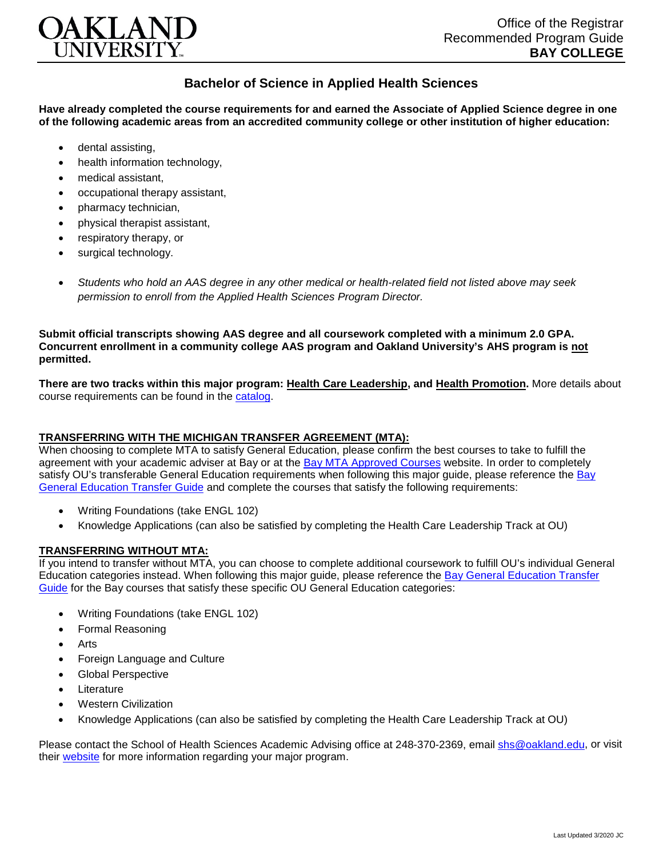

## **Bachelor of Science in Applied Health Sciences**

**Have already completed the course requirements for and earned the Associate of Applied Science degree in one of the following academic areas from an accredited community college or other institution of higher education:**

- dental assisting,
- health information technology.
- medical assistant,
- occupational therapy assistant,
- pharmacy technician,
- physical therapist assistant,
- respiratory therapy, or
- surgical technology.
- *Students who hold an AAS degree in any other medical or health-related field not listed above may seek permission to enroll from the Applied Health Sciences Program Director.*

**Submit official transcripts showing AAS degree and all coursework completed with a minimum 2.0 GPA. Concurrent enrollment in a community college AAS program and Oakland University's AHS program is not permitted.**

**There are two tracks within this major program: Health Care Leadership, and Health Promotion.** More details about course requirements can be found in the [catalog.](http://catalog.oakland.edu/preview_program.php?catoid=44&poid=6779)

## **TRANSFERRING WITH THE MICHIGAN TRANSFER AGREEMENT (MTA):**

When choosing to complete MTA to satisfy General Education, please confirm the best courses to take to fulfill the agreement with your academic adviser at Bay or at the [Bay MTA Approved Courses](https://www.baycollege.edu/admissions/transfer/transfer-agreements.php) website. In order to completely satisfy OU's transferable General Education requirements when following this major guide, please reference the [Bay](https://www.oakland.edu/Assets/Oakland/program-guides/bay-college/university-general-education-requirements/Bay%20Gen%20Ed.pdf)  [General Education Transfer Guide](https://www.oakland.edu/Assets/Oakland/program-guides/bay-college/university-general-education-requirements/Bay%20Gen%20Ed.pdf) and complete the courses that satisfy the following requirements:

- Writing Foundations (take ENGL 102)
- Knowledge Applications (can also be satisfied by completing the Health Care Leadership Track at OU)

## **TRANSFERRING WITHOUT MTA:**

If you intend to transfer without MTA, you can choose to complete additional coursework to fulfill OU's individual General Education categories instead. When following this major guide, please reference the [Bay General Education Transfer](https://www.oakland.edu/Assets/Oakland/program-guides/bay-college/university-general-education-requirements/Bay%20Gen%20Ed.pdf)  [Guide](https://www.oakland.edu/Assets/Oakland/program-guides/bay-college/university-general-education-requirements/Bay%20Gen%20Ed.pdf) for the Bay courses that satisfy these specific OU General Education categories:

- Writing Foundations (take ENGL 102)
- Formal Reasoning
- **Arts**
- Foreign Language and Culture
- Global Perspective
- **Literature**
- Western Civilization
- Knowledge Applications (can also be satisfied by completing the Health Care Leadership Track at OU)

Please contact the School of Health Sciences Academic Advising office at 248-370-2369, email [shs@oakland.edu,](mailto:shs@oakland.edu) or visit their [website](http://www.oakland.edu/shs/advising) for more information regarding your major program.